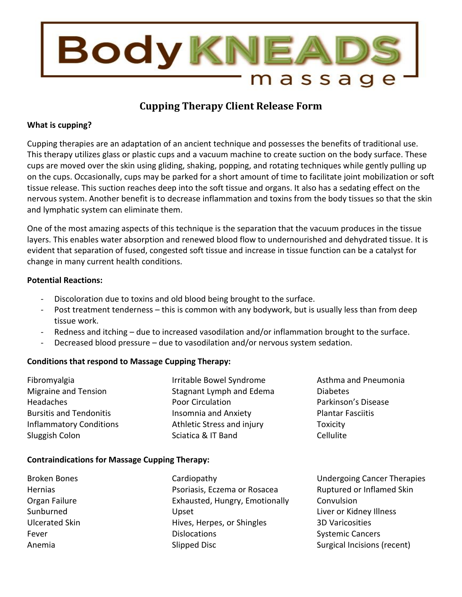

# **Cupping Therapy Client Release Form**

### **What is cupping?**

Cupping therapies are an adaptation of an ancient technique and possesses the benefits of traditional use. This therapy utilizes glass or plastic cups and a vacuum machine to create suction on the body surface. These cups are moved over the skin using gliding, shaking, popping, and rotating techniques while gently pulling up on the cups. Occasionally, cups may be parked for a short amount of time to facilitate joint mobilization or soft tissue release. This suction reaches deep into the soft tissue and organs. It also has a sedating effect on the nervous system. Another benefit is to decrease inflammation and toxins from the body tissues so that the skin and lymphatic system can eliminate them.

One of the most amazing aspects of this technique is the separation that the vacuum produces in the tissue layers. This enables water absorption and renewed blood flow to undernourished and dehydrated tissue. It is evident that separation of fused, congested soft tissue and increase in tissue function can be a catalyst for change in many current health conditions.

#### **Potential Reactions:**

- Discoloration due to toxins and old blood being brought to the surface.
- Post treatment tenderness this is common with any bodywork, but is usually less than from deep tissue work.
- Redness and itching due to increased vasodilation and/or inflammation brought to the surface.
- Decreased blood pressure due to vasodilation and/or nervous system sedation.

## **Conditions that respond to Massage Cupping Therapy:**

| Fibromyalgia                   | Irritable Bowel Syndrome    | Asthma and Pneumonia     |
|--------------------------------|-----------------------------|--------------------------|
| <b>Migraine and Tension</b>    | Stagnant Lymph and Edema    | <b>Diabetes</b>          |
| Headaches                      | Poor Circulation            | Parkinson's Disease      |
| <b>Bursitis and Tendonitis</b> | <b>Insomnia and Anxiety</b> | <b>Plantar Fasciitis</b> |
| <b>Inflammatory Conditions</b> | Athletic Stress and injury  | Toxicity                 |
| Sluggish Colon                 | Sciatica & IT Band          | Cellulite                |

## **Contraindications for Massage Cupping Therapy:**

| <b>Broken Bones</b> | Cardiopathy                    | <b>Undergoing Cancer Therapies</b> |
|---------------------|--------------------------------|------------------------------------|
| Hernias             | Psoriasis, Eczema or Rosacea   | Ruptured or Inflamed Skin          |
| Organ Failure       | Exhausted, Hungry, Emotionally | Convulsion                         |
| Sunburned           | Upset                          | Liver or Kidney Illness            |
| Ulcerated Skin      | Hives, Herpes, or Shingles     | <b>3D Varicosities</b>             |
| Fever               | <b>Dislocations</b>            | <b>Systemic Cancers</b>            |
| Anemia              | Slipped Disc                   | Surgical Incisions (recent)        |